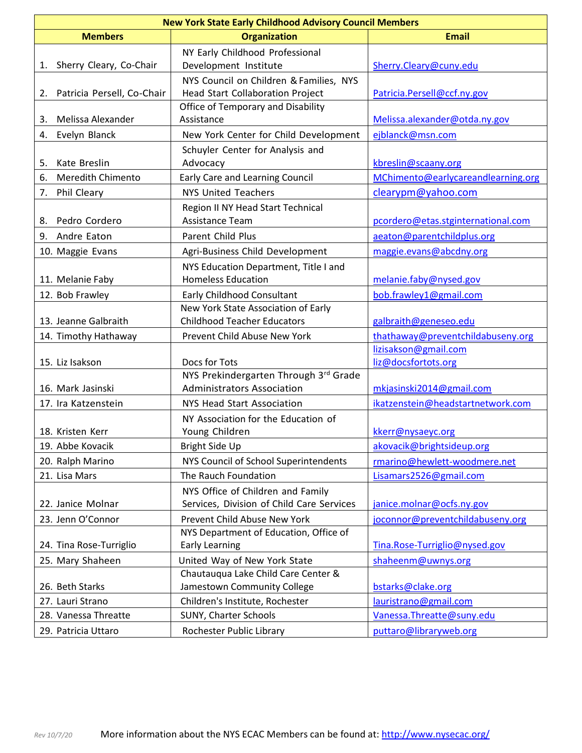| <b>New York State Early Childhood Advisory Council Members</b> |                                                                                    |                                             |
|----------------------------------------------------------------|------------------------------------------------------------------------------------|---------------------------------------------|
| <b>Members</b>                                                 | <b>Organization</b>                                                                | <b>Email</b>                                |
| Sherry Cleary, Co-Chair<br>1.                                  | NY Early Childhood Professional<br>Development Institute                           | Sherry.Cleary@cuny.edu                      |
| Patricia Persell, Co-Chair<br>2.                               | NYS Council on Children & Families, NYS<br><b>Head Start Collaboration Project</b> | Patricia.Persell@ccf.ny.gov                 |
| Melissa Alexander<br>3.                                        | Office of Temporary and Disability<br>Assistance                                   | Melissa.alexander@otda.ny.gov               |
| Evelyn Blanck<br>4.                                            | New York Center for Child Development                                              | ejblanck@msn.com                            |
| Kate Breslin<br>5.                                             | Schuyler Center for Analysis and<br>Advocacy                                       | kbreslin@scaany.org                         |
| <b>Meredith Chimento</b><br>6.                                 | Early Care and Learning Council                                                    | MChimento@earlycareandlearning.org          |
| Phil Cleary<br>7.                                              | <b>NYS United Teachers</b>                                                         | clearypm@yahoo.com                          |
| Pedro Cordero<br>8.                                            | Region II NY Head Start Technical<br>Assistance Team                               | pcordero@etas.stginternational.com          |
| 9.<br>Andre Eaton                                              | Parent Child Plus                                                                  | aeaton@parentchildplus.org                  |
| 10. Maggie Evans                                               | Agri-Business Child Development                                                    | maggie.evans@abcdny.org                     |
| 11. Melanie Faby                                               | NYS Education Department, Title I and<br><b>Homeless Education</b>                 | melanie.faby@nysed.gov                      |
| 12. Bob Frawley                                                | Early Childhood Consultant                                                         | bob.frawley1@gmail.com                      |
| 13. Jeanne Galbraith                                           | New York State Association of Early<br><b>Childhood Teacher Educators</b>          | galbraith@geneseo.edu                       |
| 14. Timothy Hathaway                                           | Prevent Child Abuse New York                                                       | thathaway@preventchildabuseny.org           |
| 15. Liz Isakson                                                | Docs for Tots                                                                      | lizisakson@gmail.com<br>liz@docsfortots.org |
| 16. Mark Jasinski                                              | NYS Prekindergarten Through 3rd Grade<br><b>Administrators Association</b>         | mkjasinski2014@gmail.com                    |
| 17. Ira Katzenstein                                            | NYS Head Start Association                                                         | ikatzenstein@headstartnetwork.com           |
| 18. Kristen Kerr                                               | NY Association for the Education of<br>Young Children                              | kkerr@nysaeyc.org                           |
| 19. Abbe Kovacik                                               | <b>Bright Side Up</b>                                                              | akovacik@brightsideup.org                   |
| 20. Ralph Marino                                               | NYS Council of School Superintendents                                              | rmarino@hewlett-woodmere.net                |
| 21. Lisa Mars                                                  | The Rauch Foundation                                                               | Lisamars2526@gmail.com                      |
| 22. Janice Molnar                                              | NYS Office of Children and Family<br>Services, Division of Child Care Services     | janice.molnar@ocfs.ny.gov                   |
| 23. Jenn O'Connor                                              | Prevent Child Abuse New York                                                       | joconnor@preventchildabuseny.org            |
| 24. Tina Rose-Turriglio                                        | NYS Department of Education, Office of<br><b>Early Learning</b>                    | Tina.Rose-Turriglio@nysed.gov               |
| 25. Mary Shaheen                                               | United Way of New York State                                                       | shaheenm@uwnys.org                          |
| 26. Beth Starks                                                | Chautauqua Lake Child Care Center &<br>Jamestown Community College                 | bstarks@clake.org                           |
| 27. Lauri Strano                                               | Children's Institute, Rochester                                                    | lauristrano@gmail.com                       |
| 28. Vanessa Threatte                                           | SUNY, Charter Schools                                                              | Vanessa.Threatte@suny.edu                   |
| 29. Patricia Uttaro                                            | Rochester Public Library                                                           | puttaro@libraryweb.org                      |